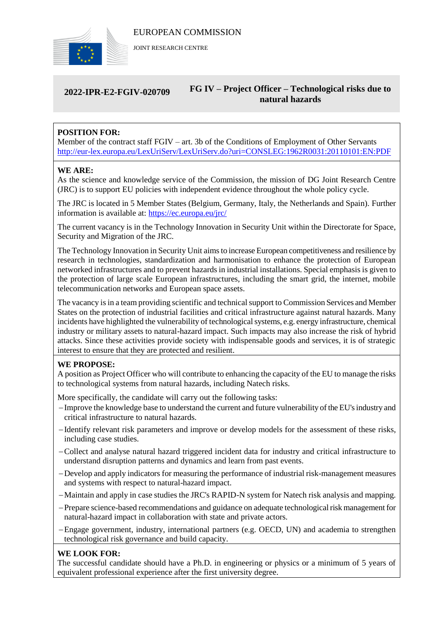

JOINT RESEARCH CENTRE

#### **2022-IPR-E2-FGIV-020709 FG IV – Project Officer – Technological risks due to natural hazards**

# **POSITION FOR:**

Member of the contract staff FGIV – art. 3b of the Conditions of Employment of Other Servants <http://eur-lex.europa.eu/LexUriServ/LexUriServ.do?uri=CONSLEG:1962R0031:20110101:EN:PDF>

### **WE ARE:**

As the science and knowledge service of the Commission, the mission of DG Joint Research Centre (JRC) is to support EU policies with independent evidence throughout the whole policy cycle.

The JRC is located in 5 Member States (Belgium, Germany, Italy, the Netherlands and Spain). Further information is available at: <https://ec.europa.eu/jrc/>

The current vacancy is in the Technology Innovation in Security Unit within the Directorate for Space, Security and Migration of the JRC.

The Technology Innovation in Security Unit aims to increase European competitiveness and resilience by research in technologies, standardization and harmonisation to enhance the protection of European networked infrastructures and to prevent hazards in industrial installations. Special emphasis is given to the protection of large scale European infrastructures, including the smart grid, the internet, mobile telecommunication networks and European space assets.

The vacancy is in a team providing scientific and technical support to Commission Services and Member States on the protection of industrial facilities and critical infrastructure against natural hazards. Many incidents have highlighted the vulnerability of technological systems, e.g. energy infrastructure, chemical industry or military assets to natural-hazard impact. Such impacts may also increase the risk of hybrid attacks. Since these activities provide society with indispensable goods and services, it is of strategic interest to ensure that they are protected and resilient.

## **WE PROPOSE:**

A position as Project Officer who will contribute to enhancing the capacity of the EU to manage the risks to technological systems from natural hazards, including Natech risks.

More specifically, the candidate will carry out the following tasks:

- Improve the knowledge base to understand the current and future vulnerability of the EU's industry and critical infrastructure to natural hazards.
- Identify relevant risk parameters and improve or develop models for the assessment of these risks, including case studies.
- Collect and analyse natural hazard triggered incident data for industry and critical infrastructure to understand disruption patterns and dynamics and learn from past events.
- Develop and apply indicators for measuring the performance of industrial risk-management measures and systems with respect to natural-hazard impact.
- Maintain and apply in case studies the JRC's RAPID-N system for Natech risk analysis and mapping.
- Prepare science-based recommendations and guidance on adequate technological risk management for natural-hazard impact in collaboration with state and private actors.
- Engage government, industry, international partners (e.g. OECD, UN) and academia to strengthen technological risk governance and build capacity.

### **WE LOOK FOR:**

The successful candidate should have a Ph.D. in engineering or physics or a minimum of 5 years of equivalent professional experience after the first university degree.